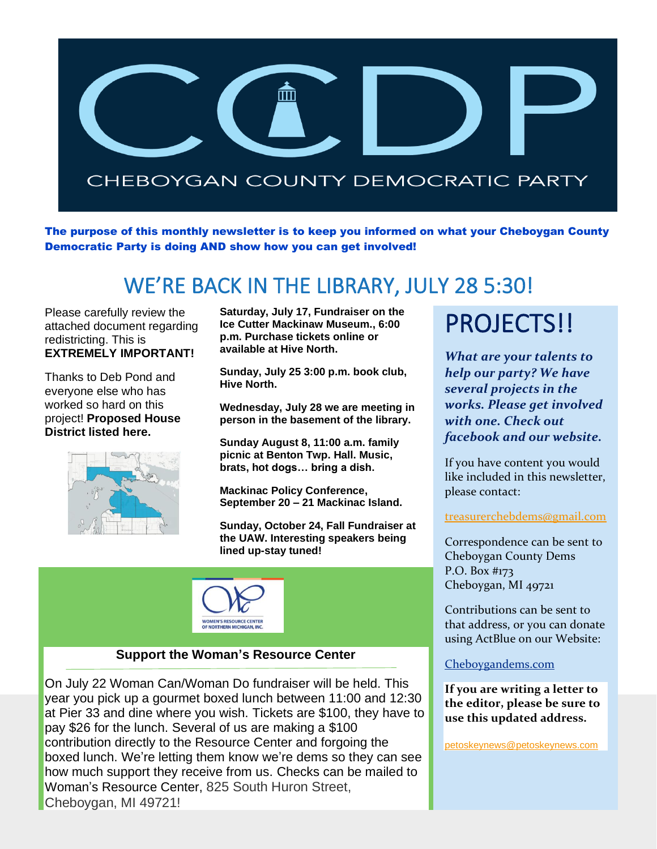

The purpose of this monthly newsletter is to keep you informed on what your Cheboygan County Democratic Party is doing AND show how you can get involved!

## WE'RE BACK IN THE LIBRARY, JULY 28 5:30!

Please carefully review the attached document regarding redistricting. This is **EXTREMELY IMPORTANT!**

Thanks to Deb Pond and everyone else who has worked so hard on this project! **Proposed House District listed here.**



**Saturday, July 17, Fundraiser on the Ice Cutter Mackinaw Museum., 6:00 p.m. Purchase tickets online or available at Hive North.**

**Sunday, July 25 3:00 p.m. book club, Hive North.**

**Wednesday, July 28 we are meeting in person in the basement of the library.**

**Sunday August 8, 11:00 a.m. family picnic at Benton Twp. Hall. Music, brats, hot dogs… bring a dish.**

**Mackinac Policy Conference, September 20 – 21 Mackinac Island.**

**Sunday, October 24, Fall Fundraiser at the UAW. Interesting speakers being lined up-stay tuned!**



#### **Support the Woman's Resource Center**

On July 22 Woman Can/Woman Do fundraiser will be held. This year you pick up a gourmet boxed lunch between 11:00 and 12:30 at Pier 33 and dine where you wish. Tickets are \$100, they have to pay \$26 for the lunch. Several of us are making a \$100 contribution directly to the Resource Center and forgoing the boxed lunch. We're letting them know we're dems so they can see how much support they receive from us. Checks can be mailed to Woman's Resource Center, 825 South Huron Street, Cheboygan, MI 49721!

## PROJECTS!!

*What are your talents to help our party? We have several projects in the works. Please get involved with one. Check out facebook and our website.*

If you have content you would like included in this newsletter, please contact:

#### [treasurerchebdems@gmail.com](mailto:treasurerchebdems@gmail.com)

Correspondence can be sent to Cheboygan County Dems P.O. Box #173 Cheboygan, MI 49721

Contributions can be sent to that address, or you can donate using ActBlue on our Website:

#### [Cheboygandems.com](http://www.cheboygandems.com/)

**If you are writing a letter to the editor, please be sure to use this updated address.**

[petoskeynews@petoskeynews.com](mailto:petoskeynews@petoskeynews.com)